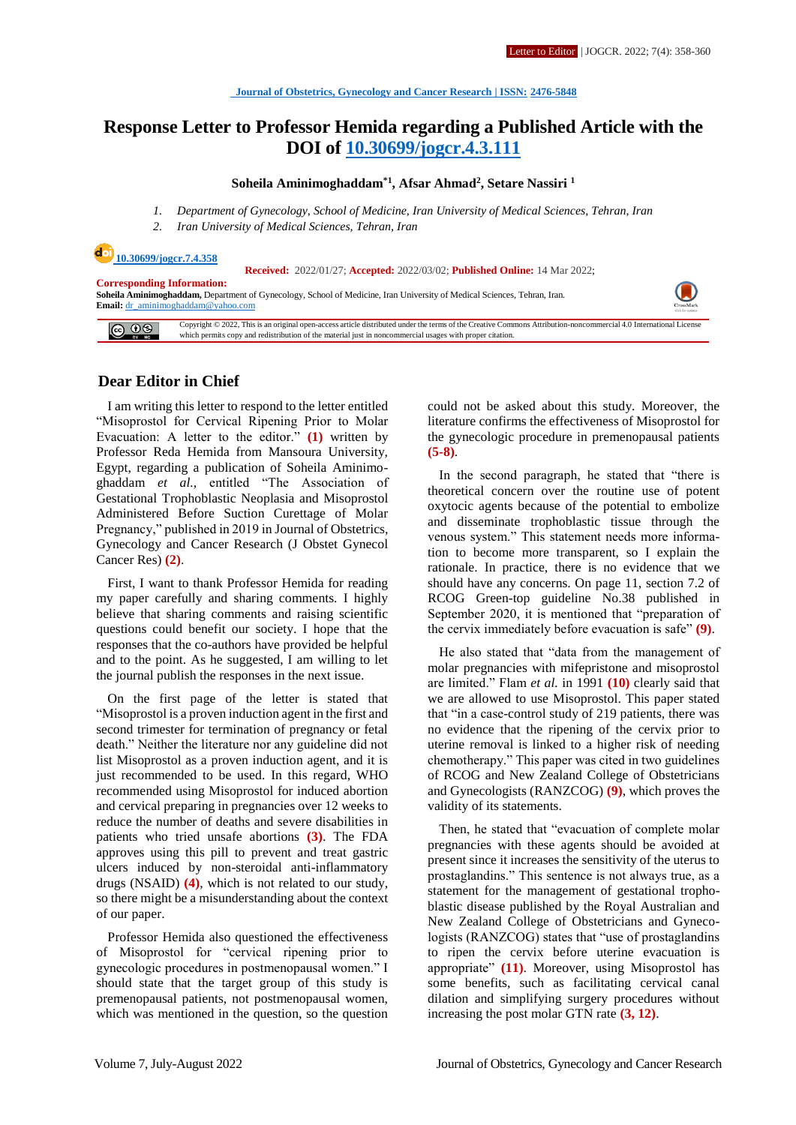# **Response Letter to Professor Hemida regarding a Published Article with the DOI of [10.30699/jogcr.4.3.111](http://dx.doi.org/10.30699/jogcr.4.3.111)**

#### **Soheila Aminimoghaddam\*1 , Afsar Ahmad<sup>2</sup> , Setare Nassiri <sup>1</sup>**

- *1. Department of Gynecology, School of Medicine, Iran University of Medical Sciences, Tehran, Iran*
- *2. Iran University of Medical Sciences, Tehran, Iran*

### **[10.30699/jogcr.7.4.358](http://dx.doi.org/10.30699/jogcr.7.4.358)**

#### **Received:** 2022/01/27; **Accepted:** 2022/03/02; **Published Online:** 14 Mar 2022;

**Corresponding Information: Soheila Aminimoghaddam,** Department of Gynecology, School of Medicine, Iran University of Medical Sciences, Tehran, Iran. **Email:** [dr\\_aminimoghaddam@yahoo.com](mailto:dr_aminimoghaddam@yahoo.com)

 $\circledcirc$ Copyright © 2022, This is an original open-access article distributed under the terms of the Creative Commons Attribution-noncommercial 4.0 International License<br>which permits copy and redistribution of the material just

### **Dear Editor in Chief**

I am writing this letter to respond to the letter entitled "Misoprostol for Cervical Ripening Prior to Molar Evacuation: A letter to the editor." **(1)** written by Professor Reda Hemida from Mansoura University, Egypt, regarding a publication of Soheila Aminimoghaddam *et al.,* entitled "The Association of Gestational Trophoblastic Neoplasia and Misoprostol Administered Before Suction Curettage of Molar Pregnancy," published in 2019 in Journal of Obstetrics, Gynecology and Cancer Research (J Obstet Gynecol Cancer Res) **(2)**.

First, I want to thank Professor Hemida for reading my paper carefully and sharing comments. I highly believe that sharing comments and raising scientific questions could benefit our society. I hope that the responses that the co-authors have provided be helpful and to the point. As he suggested, I am willing to let the journal publish the responses in the next issue.

On the first page of the letter is stated that "Misoprostol is a proven induction agent in the first and second trimester for termination of pregnancy or fetal death." Neither the literature nor any guideline did not list Misoprostol as a proven induction agent, and it is just recommended to be used. In this regard, WHO recommended using Misoprostol for induced abortion and cervical preparing in pregnancies over 12 weeks to reduce the number of deaths and severe disabilities in patients who tried unsafe abortions **(3)**. The FDA approves using this pill to prevent and treat gastric ulcers induced by non-steroidal anti-inflammatory drugs (NSAID) **(4)**, which is not related to our study, so there might be a misunderstanding about the context of our paper.

Professor Hemida also questioned the effectiveness of Misoprostol for "cervical ripening prior to gynecologic procedures in postmenopausal women." I should state that the target group of this study is premenopausal patients, not postmenopausal women, which was mentioned in the question, so the question could not be asked about this study. Moreover, the literature confirms the effectiveness of Misoprostol for the gynecologic procedure in premenopausal patients **(5-8)**.

In the second paragraph, he stated that "there is theoretical concern over the routine use of potent oxytocic agents because of the potential to embolize and disseminate trophoblastic tissue through the venous system." This statement needs more information to become more transparent, so I explain the rationale. In practice, there is no evidence that we should have any concerns. On page 11, section 7.2 of RCOG Green-top guideline No.38 published in September 2020, it is mentioned that "preparation of the cervix immediately before evacuation is safe" **(9)**.

He also stated that "data from the management of molar pregnancies with mifepristone and misoprostol are limited." Flam *et al.* in 1991 **(10)** clearly said that we are allowed to use Misoprostol. This paper stated that "in a case-control study of 219 patients, there was no evidence that the ripening of the cervix prior to uterine removal is linked to a higher risk of needing chemotherapy." This paper was cited in two guidelines of RCOG and New Zealand College of Obstetricians and Gynecologists (RANZCOG) **(9)**, which proves the validity of its statements.

Then, he stated that "evacuation of complete molar pregnancies with these agents should be avoided at present since it increases the sensitivity of the uterus to prostaglandins." This sentence is not always true, as a statement for the management of gestational trophoblastic disease published by the Royal Australian and New Zealand College of Obstetricians and Gynecologists (RANZCOG) states that "use of prostaglandins to ripen the cervix before uterine evacuation is appropriate" **(11)**. Moreover, using Misoprostol has some benefits, such as facilitating cervical canal dilation and simplifying surgery procedures without increasing the post molar GTN rate **(3, 12)**.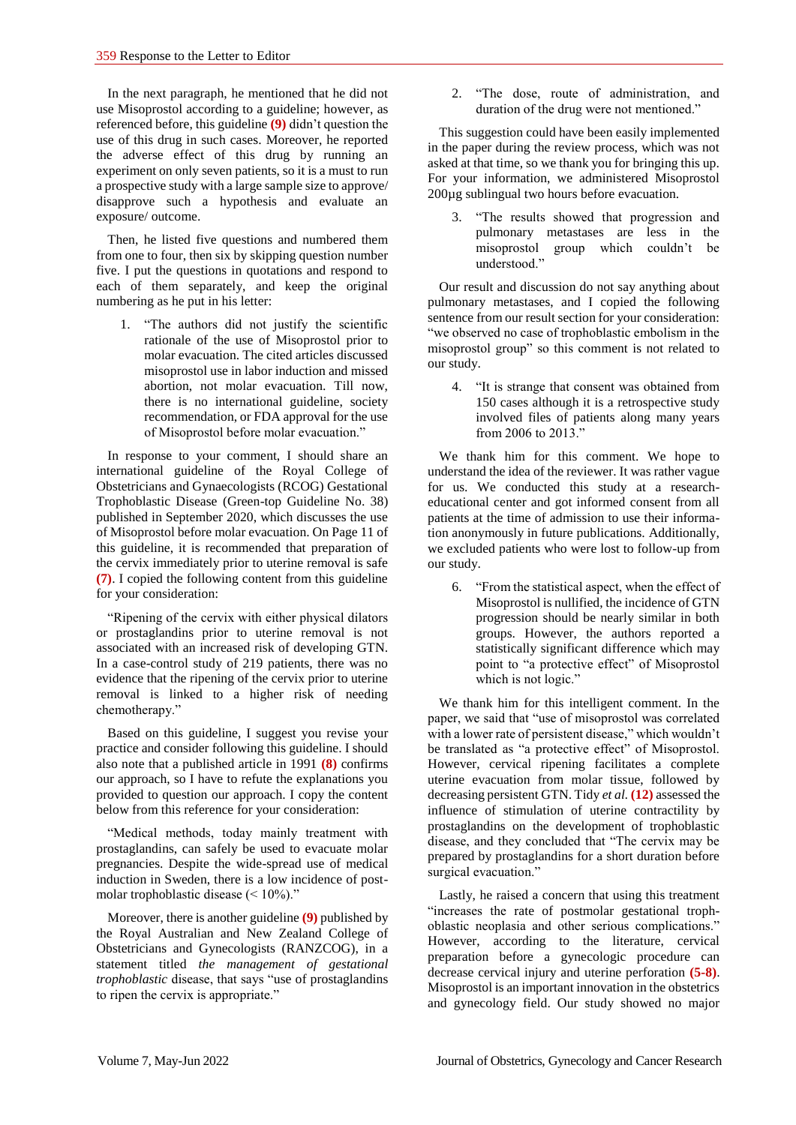In the next paragraph, he mentioned that he did not use Misoprostol according to a guideline; however, as referenced before, this guideline **(9)** didn't question the use of this drug in such cases. Moreover, he reported the adverse effect of this drug by running an experiment on only seven patients, so it is a must to run a prospective study with a large sample size to approve/ disapprove such a hypothesis and evaluate an exposure/ outcome.

Then, he listed five questions and numbered them from one to four, then six by skipping question number five. I put the questions in quotations and respond to each of them separately, and keep the original numbering as he put in his letter:

1. "The authors did not justify the scientific rationale of the use of Misoprostol prior to molar evacuation. The cited articles discussed misoprostol use in labor induction and missed abortion, not molar evacuation. Till now, there is no international guideline, society recommendation, or FDA approval for the use of Misoprostol before molar evacuation."

In response to your comment, I should share an international guideline of the Royal College of Obstetricians and Gynaecologists (RCOG) Gestational Trophoblastic Disease (Green-top Guideline No. 38) published in September 2020, which discusses the use of Misoprostol before molar evacuation. On Page 11 of this guideline, it is recommended that preparation of the cervix immediately prior to uterine removal is safe **(7)**. I copied the following content from this guideline for your consideration:

"Ripening of the cervix with either physical dilators or prostaglandins prior to uterine removal is not associated with an increased risk of developing GTN. In a case-control study of 219 patients, there was no evidence that the ripening of the cervix prior to uterine removal is linked to a higher risk of needing chemotherapy."

Based on this guideline, I suggest you revise your practice and consider following this guideline. I should also note that a published article in 1991 **(8)** confirms our approach, so I have to refute the explanations you provided to question our approach. I copy the content below from this reference for your consideration:

"Medical methods, today mainly treatment with prostaglandins, can safely be used to evacuate molar pregnancies. Despite the wide-spread use of medical induction in Sweden, there is a low incidence of postmolar trophoblastic disease (< 10%)."

Moreover, there is another guideline **(9)** published by the Royal Australian and New Zealand College of Obstetricians and Gynecologists (RANZCOG), in a statement titled *the management of gestational trophoblastic* disease, that says "use of prostaglandins to ripen the cervix is appropriate."

2. "The dose, route of administration, and duration of the drug were not mentioned."

This suggestion could have been easily implemented in the paper during the review process, which was not asked at that time, so we thank you for bringing this up. For your information, we administered Misoprostol 200µg sublingual two hours before evacuation.

3. "The results showed that progression and pulmonary metastases are less in the misoprostol group which couldn't be understood."

Our result and discussion do not say anything about pulmonary metastases, and I copied the following sentence from our result section for your consideration: "we observed no case of trophoblastic embolism in the misoprostol group" so this comment is not related to our study.

4. "It is strange that consent was obtained from 150 cases although it is a retrospective study involved files of patients along many years from 2006 to 2013."

We thank him for this comment. We hope to understand the idea of the reviewer. It was rather vague for us. We conducted this study at a researcheducational center and got informed consent from all patients at the time of admission to use their information anonymously in future publications. Additionally, we excluded patients who were lost to follow-up from our study.

6. "From the statistical aspect, when the effect of Misoprostol is nullified, the incidence of GTN progression should be nearly similar in both groups. However, the authors reported a statistically significant difference which may point to "a protective effect" of Misoprostol which is not logic."

We thank him for this intelligent comment. In the paper, we said that "use of misoprostol was correlated with a lower rate of persistent disease," which wouldn't be translated as "a protective effect" of Misoprostol. However, cervical ripening facilitates a complete uterine evacuation from molar tissue, followed by decreasing persistent GTN. Tidy *et al.* **(12)** assessed the influence of stimulation of uterine contractility by prostaglandins on the development of trophoblastic disease, and they concluded that "The cervix may be prepared by prostaglandins for a short duration before surgical evacuation."

Lastly, he raised a concern that using this treatment "increases the rate of postmolar gestational trophoblastic neoplasia and other serious complications." However, according to the literature, cervical preparation before a gynecologic procedure can decrease cervical injury and uterine perforation **(5-8)**. Misoprostol is an important innovation in the obstetrics and gynecology field. Our study showed no major